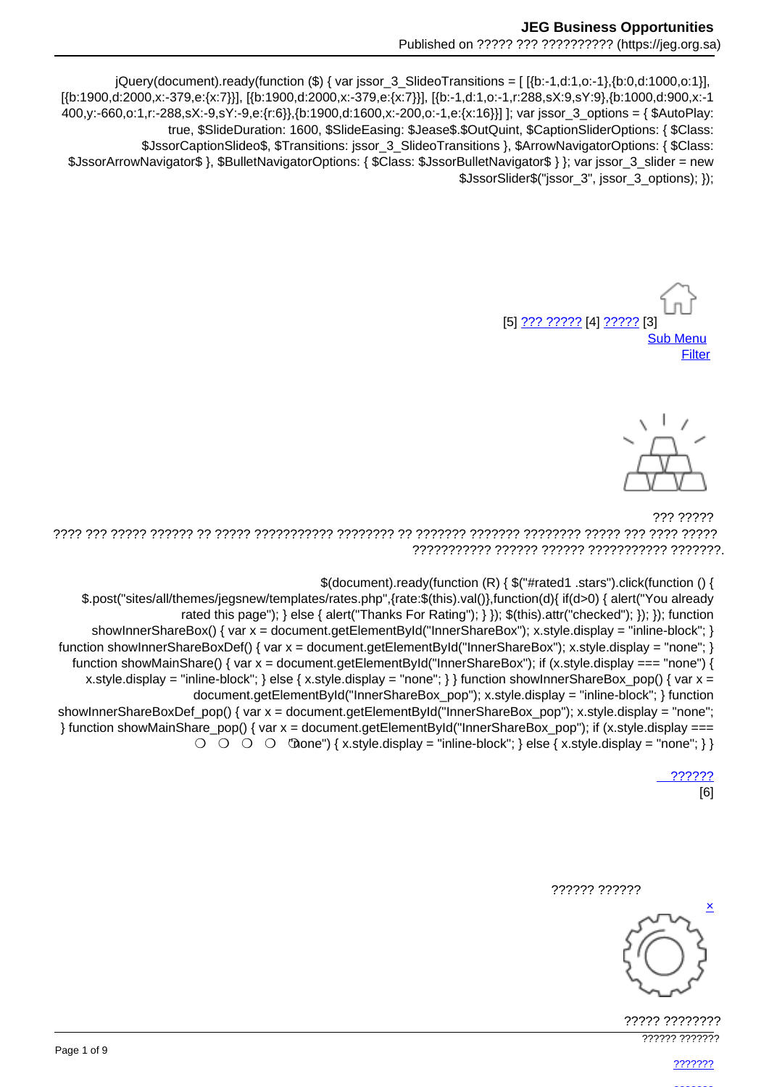jQuery(document).ready(function (\$) { var jssor\_3\_SlideoTransitions = [[{b:-1,d:1,o:-1},{b:0,d:1000,o:1}], [{b:1900.d:2000.x:-379.e:{x:7}}], [{b:1900.d:2000.x:-379.e:{x:7}}], [{b:-1.d:1.o:-1.r:288.sX:9.sY:9}, {b:1000.d:900.x:-1 400,y:-660,o:1,r:-288,sX:-9,sY:-9,e:{r:6}},{b:1900,d:1600,x:-200,o:-1,e:{x:16}}] ]; var jssor\_3\_options = { \$AutoPlay: true, \$SlideDuration: 1600, \$SlideEasing: \$Jease\$.\$OutQuint, \$CaptionSliderOptions: { \$Class: \$JssorCaptionSlideo\$, \$Transitions: jssor\_3\_SlideoTransitions }, \$ArrowNavigatorOptions: { \$Class: \$JssorArrowNavigator\$ }, \$BulletNavigatorOptions: { \$Class: \$JssorBulletNavigator\$ } }; var jssor\_3\_slider = new \$JssorSlider\$("jssor 3", jssor 3 options); });

[5] ??? ?????? [4] ????? [3] **Sub Menu** Filter



777 77777 

\$(document).ready(function (R) { \$("#rated1 .stars").click(function () {

\$.post("sites/all/themes/jegsnew/templates/rates.php",{rate:\$(this).val()},function(d){ if(d>0) { alert("You already rated this page"); } else { alert("Thanks For Rating"); } }); \$(this).attr("checked"); }); }); function showInnerShareBox() { var  $x =$  document.getElementById("InnerShareBox"): x.style.display = "inline-block": } function showInnerShareBoxDef() { var  $x =$  document.getElementById("InnerShareBox"); x.style.display = "none"; } function showMainShare() { var  $x =$  document.getElementById("InnerShareBox"); if (x.style.display === "none") { x.style.display = "inline-block"; } else { x.style.display = "none"; } } function showInnerShareBox pop() { var  $x =$ document.getElementById("InnerShareBox\_pop"); x.style.display = "inline-block"; } function showInnerShareBoxDef\_pop() { var x = document.getElementById("InnerShareBox\_pop"); x.style.display = "none"; } function showMainShare\_pop() { var x = document.getElementById("InnerShareBox pop"); if (x.style.display ===

 $\bigcirc$   $\bigcirc$   $\bigcirc$   $\bigcirc$   $\bigcirc$   $\bigcirc$   $\bigcirc$   $\bigcirc$   $\bigcirc$   $\bigcirc$   $\bigcirc$   $\bigcirc$   $\bigcirc$   $\bigcirc$   $\bigcirc$   $\bigcirc$   $\bigcirc$   $\bigcirc$   $\bigcirc$   $\bigcirc$   $\bigcirc$   $\bigcirc$   $\bigcirc$   $\bigcirc$   $\bigcirc$   $\bigcirc$   $\bigcirc$   $\bigcirc$   $\bigcirc$   $\bigcirc$   $\bigcirc$   $\bigcirc$   $\bigcirc$   $\bigcirc$   $\bigcirc$   $\bigcirc$   $\bigcirc$ 

??????  $[6]$ 





????? ???????? 777777 7777777

???????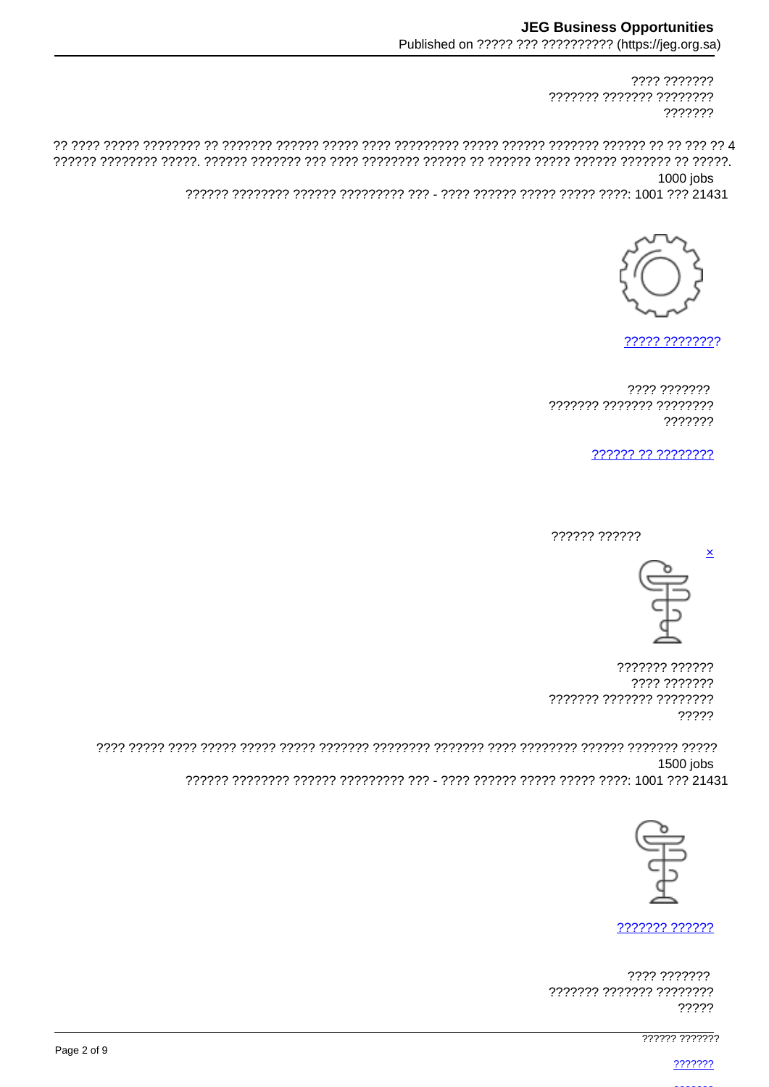???? ??????? ??????? ??????? ???????? ???????

1000 jobs



????? ????????

???? ??????? ??????? ??????? ???????? ???????

?????? ?? ????????

?????? ??????



 $\mathbf{\underline{x}}$ 

??????? ?????? ???? ??????? ??????? ??????? ???????? 22222

1500 iobs 



??????? ??????

???? ??????? ??????? ??????? ???????? ?????

777777 777777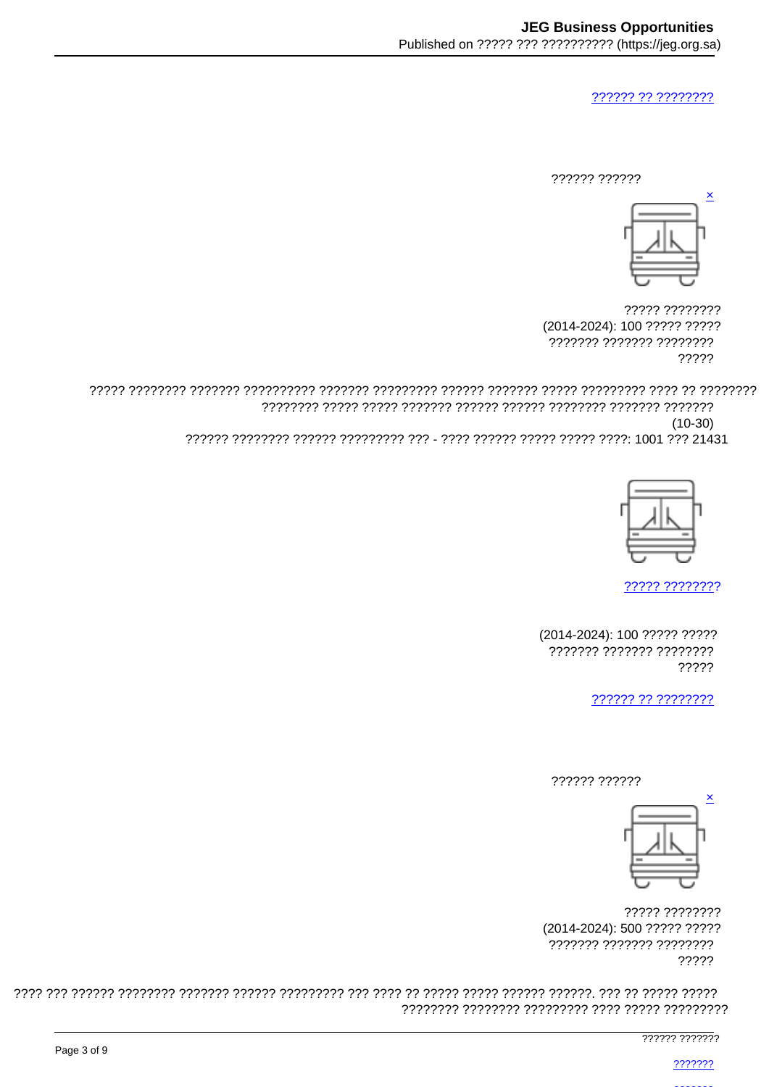777777 77 77777777

777777 777777



????? ???????? (2014-2024): 100 ????? ????? ??????? ??????? ???????? ?????

 $(10-30)$ 



????? ????????

(2014-2024): 100 ????? ????? ??????? ??????? ???????? ?????

?????? ?? ????????

?????? ??????



????? ???????? (2014-2024): 500 ????? ????? ??????? ??????? ???????? ?????

777777 777777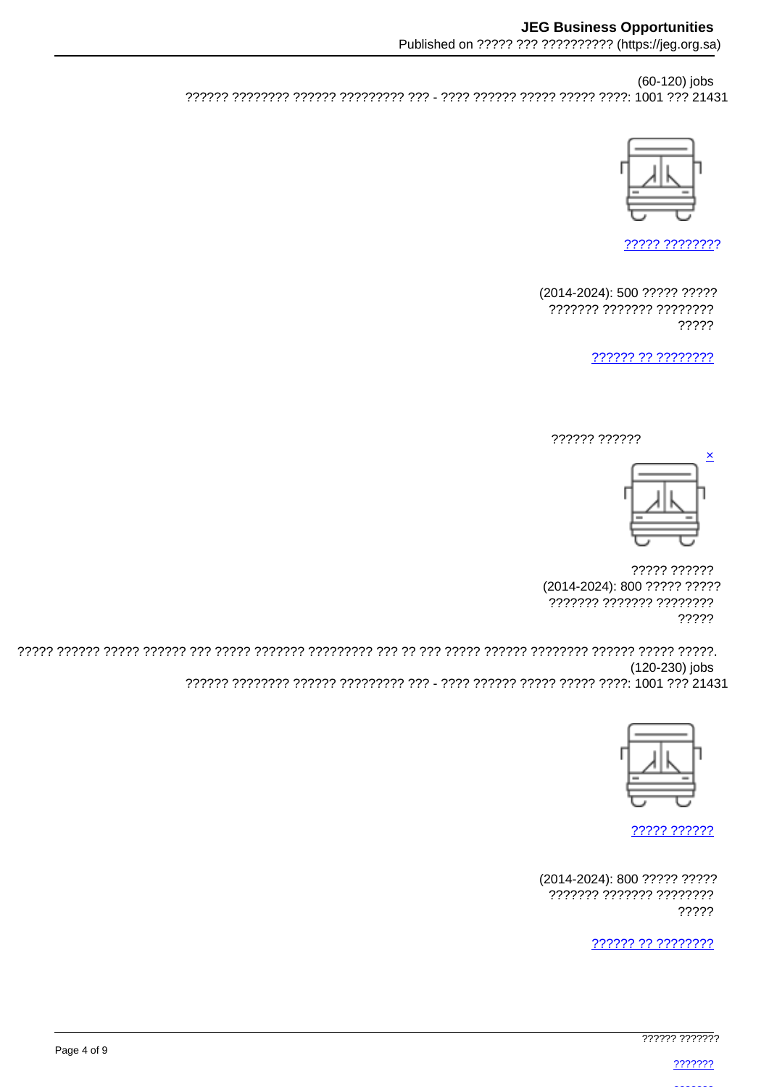(60-120) jobs 



????? ????????

(2014-2024): 500 ????? ????? ??????? ??????? ???????? ?????

222222.22.22222222





????? ?????? (2014-2024): 800 ????? ????? ??????? ??????? ???????? ?????

(120-230) jobs 222222 2222222 222222 22222222 222 - 2222 22222 22222 22222 22231



77777 777777

(2014-2024): 800 ????? ????? ??????? ??????? ???????? ?????

?????? ?? ????????

777777 777777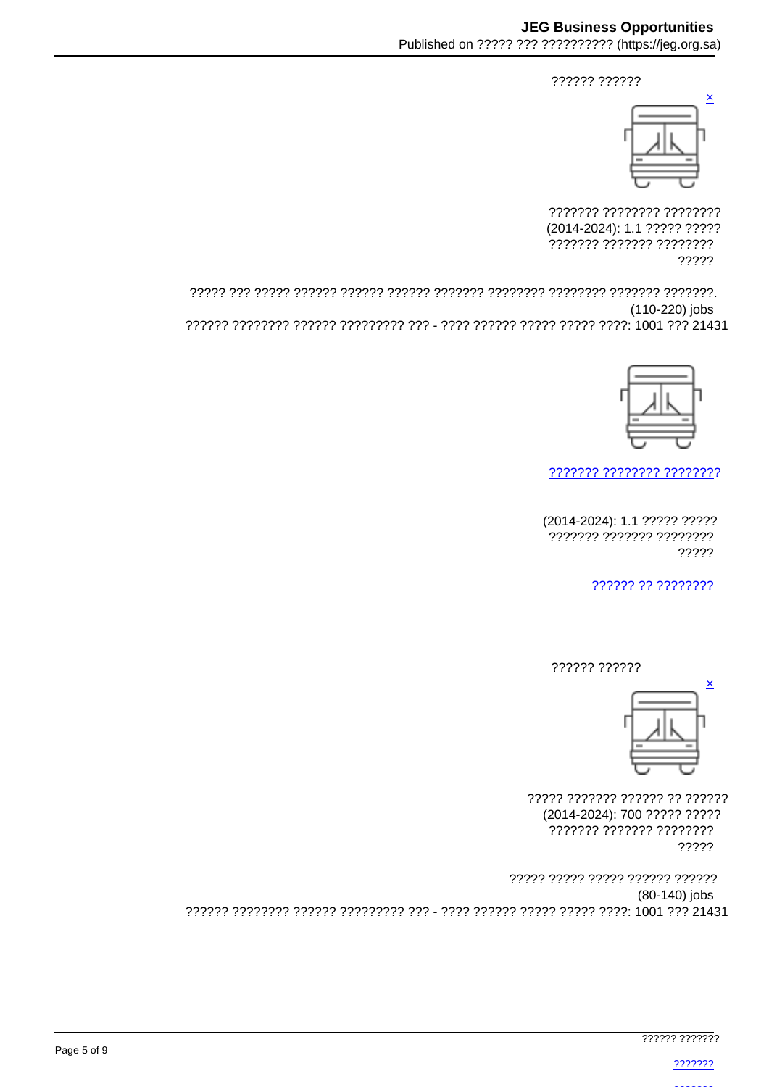?????? ??????



??????? ???????? ???????? (2014-2024): 1.1 ????? ????? ??????? ??????? ???????? ?????

(110-220) jobs 



777777 7777777 77777777

(2014-2024): 1.1 ????? ????? ??????? ??????? ???????? ?????

?????? ?? ????????

?????? ??????



77777 7777777 777777 77 777777 (2014-2024): 700 ????? ????? ??????? ??????? ???????? ?????

????? ????? ????? ?????? ?????? (80-140) jobs 222222 22222222 222222 22222222 222 - 2222 22222 22222 22222 22231 2222 22431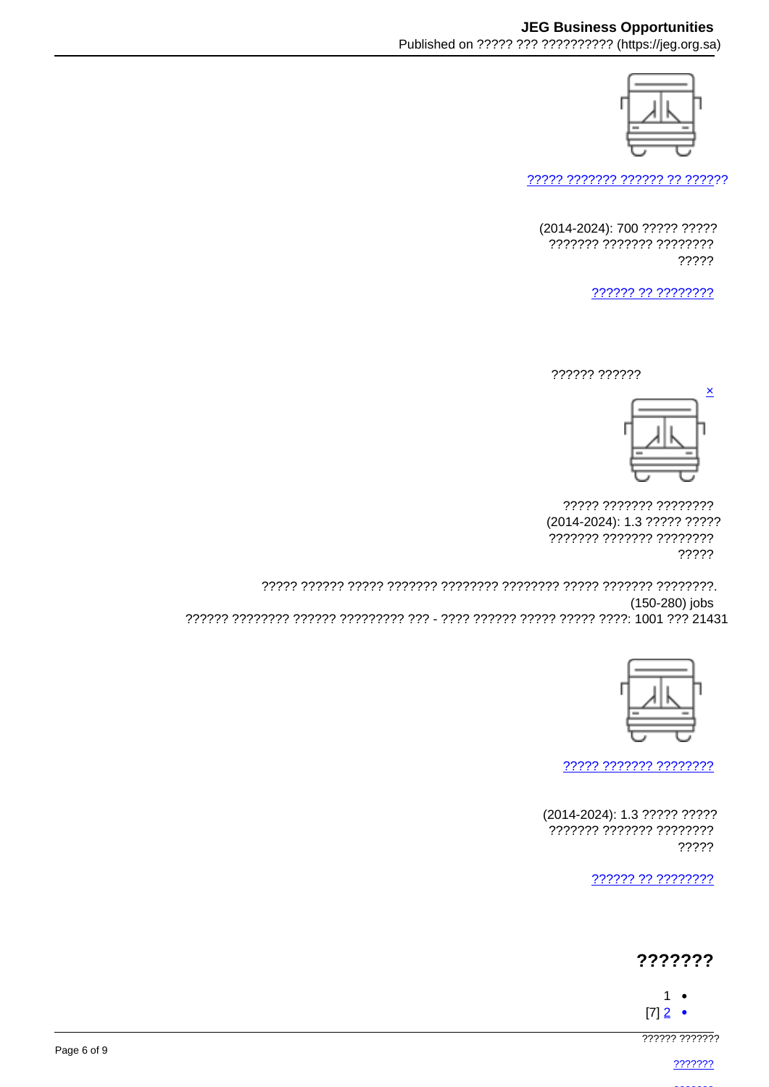

????? ??????? ?????? ?? ??????

(2014-2024): 700 ????? ????? ??????? ??????? ???????? ?????

?????? ?? ????????

?????? ??????



????? ??????? ???????? (2014-2024): 1.3 ????? ????? ??????? ??????? ???????? ?????

(150-280) jobs 



77777 7777777 77777777

(2014-2024): 1.3 ????? ????? ??????? ??????? ???????? ?????

222222.22.22222222

## ???????

- $1 [7]$  2  $\bullet$
- 

777777 7777777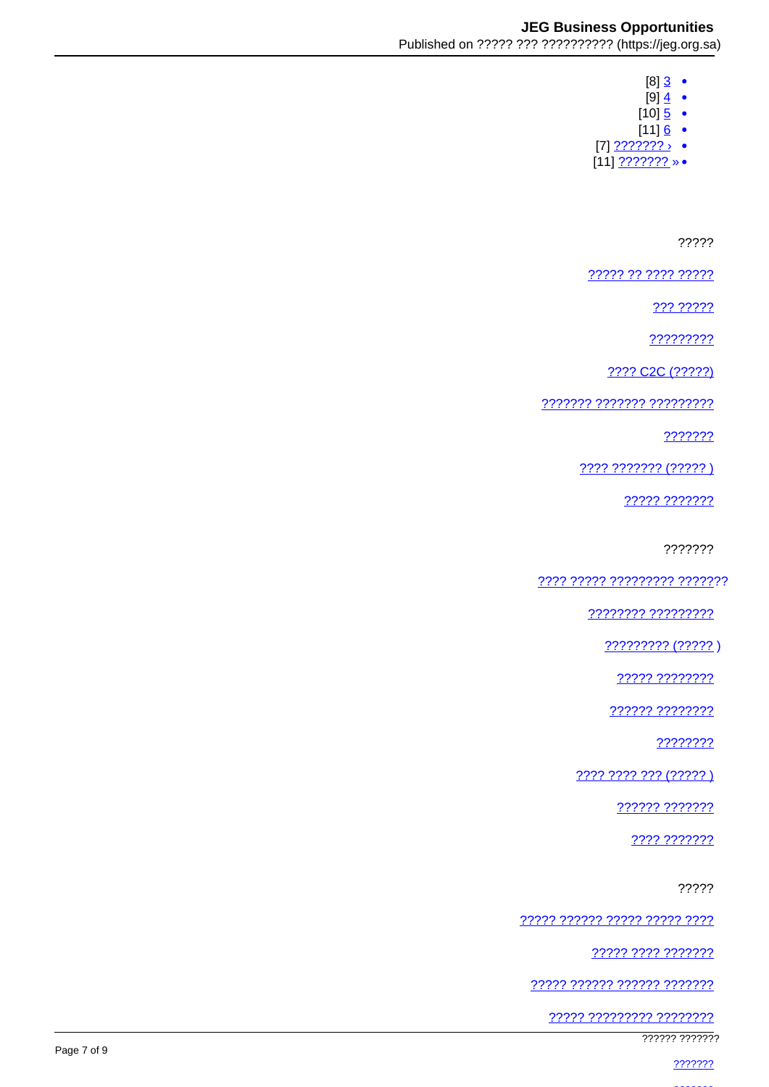- $[8]$  3  $\bullet$  $[9]$   $\frac{4}{9}$   $\bullet$
- 
- $[10]$  <u>5</u> •
- [11]<br>• (11<u>]???????</u> [7]
- $[11]$  ??????? » •

?????

77777 77 7777 77777

??? ?????

?????????

2222 C2C (22222)

7777777 7777777 777777777

???????

???? ??????? (?????)

????? ???????

???????

<u>7777 77777 777777777 777777</u>7

22222222 222222222

????????? (????? )

????? ????????

?????? ????????

????????

???? ???? ??? (????? )

?????? ???????

???? ???????

?????

<u> ????? ?????? ????? ????? ????</u>

22222 2222 2222222

????? ?????? ?????? ???????

77777 777777777 77777777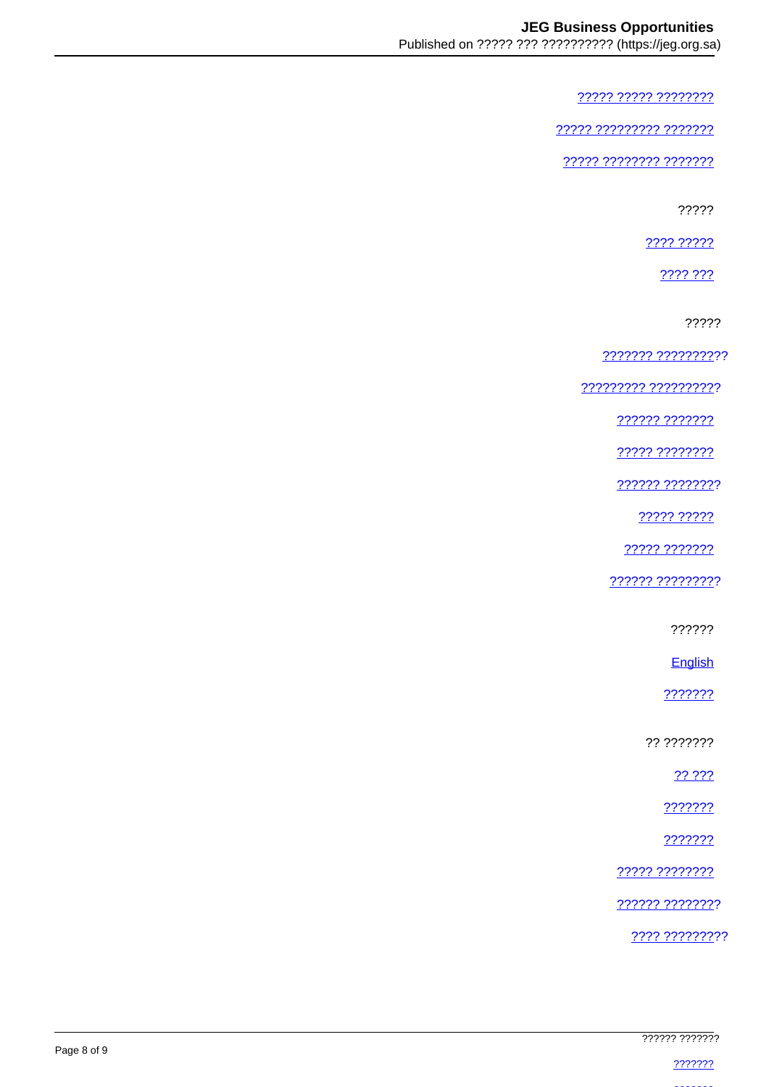????? ????? ????????

77777 777777777 7777777

77777 77777777 7777777

?????

???? ?????

2222.222

?????

??????? ??????????

77777777 7777777777

222222 2222222

22222 22222222

?????? ????????

22222 22222

22222 2222222

?????? ?????????

??????

English

???????

?? ???????

?? ???

2222222

???????

????? ????????

?????? ????????

???? ?????????

|             | ?????? ???????  |
|-------------|-----------------|
| Page 8 of 9 |                 |
|             | <u> ???????</u> |